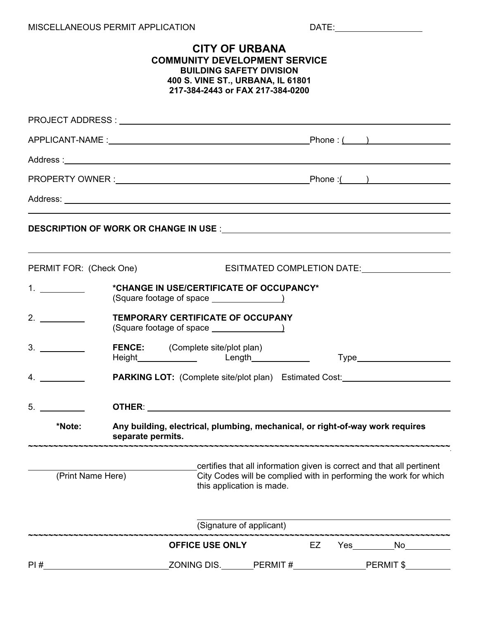## MISCELLANEOUS PERMIT APPLICATION

|                                 |                                                                                                    | <b>CITY OF URBANA</b><br><b>COMMUNITY DEVELOPMENT SERVICE</b><br><b>BUILDING SAFETY DIVISION</b><br>400 S. VINE ST., URBANA, IL 61801<br>217-384-2443 or FAX 217-384-0200 |                                  |    |  |                                                                                                                                                                                                                                |  |  |  |
|---------------------------------|----------------------------------------------------------------------------------------------------|---------------------------------------------------------------------------------------------------------------------------------------------------------------------------|----------------------------------|----|--|--------------------------------------------------------------------------------------------------------------------------------------------------------------------------------------------------------------------------------|--|--|--|
|                                 |                                                                                                    |                                                                                                                                                                           |                                  |    |  |                                                                                                                                                                                                                                |  |  |  |
|                                 |                                                                                                    |                                                                                                                                                                           |                                  |    |  |                                                                                                                                                                                                                                |  |  |  |
|                                 |                                                                                                    |                                                                                                                                                                           |                                  |    |  |                                                                                                                                                                                                                                |  |  |  |
|                                 |                                                                                                    |                                                                                                                                                                           |                                  |    |  |                                                                                                                                                                                                                                |  |  |  |
|                                 |                                                                                                    |                                                                                                                                                                           |                                  |    |  |                                                                                                                                                                                                                                |  |  |  |
|                                 |                                                                                                    |                                                                                                                                                                           |                                  |    |  |                                                                                                                                                                                                                                |  |  |  |
| PERMIT FOR: (Check One)         |                                                                                                    |                                                                                                                                                                           |                                  |    |  | ESITMATED COMPLETION DATE: LATER AND RESITMATED COMPLETION DATE:                                                                                                                                                               |  |  |  |
|                                 | *CHANGE IN USE/CERTIFICATE OF OCCUPANCY*                                                           |                                                                                                                                                                           |                                  |    |  |                                                                                                                                                                                                                                |  |  |  |
| 2.                              | <b>TEMPORARY CERTIFICATE OF OCCUPANY</b>                                                           |                                                                                                                                                                           |                                  |    |  |                                                                                                                                                                                                                                |  |  |  |
| $3.$ $\overline{\phantom{277}}$ | <b>FENCE:</b> (Complete site/plot plan)<br>Height <b>Length Example 12</b>                         |                                                                                                                                                                           |                                  |    |  | Type and the contract of the contract of the contract of the contract of the contract of the contract of the contract of the contract of the contract of the contract of the contract of the contract of the contract of the c |  |  |  |
| 4.                              |                                                                                                    |                                                                                                                                                                           |                                  |    |  | <b>PARKING LOT:</b> (Complete site/plot plan) Estimated Cost: ________________________                                                                                                                                         |  |  |  |
| 5.                              | <b>OTHER:</b>                                                                                      |                                                                                                                                                                           |                                  |    |  |                                                                                                                                                                                                                                |  |  |  |
| *Note:                          | Any building, electrical, plumbing, mechanical, or right-of-way work requires<br>separate permits. |                                                                                                                                                                           | -------------------------------- |    |  |                                                                                                                                                                                                                                |  |  |  |
| (Print Name Here)               |                                                                                                    | certifies that all information given is correct and that all pertinent<br>City Codes will be complied with in performing the work for which<br>this application is made.  |                                  |    |  |                                                                                                                                                                                                                                |  |  |  |
|                                 |                                                                                                    |                                                                                                                                                                           | (Signature of applicant)         |    |  |                                                                                                                                                                                                                                |  |  |  |
|                                 |                                                                                                    | <b>OFFICE USE ONLY</b>                                                                                                                                                    |                                  | EZ |  | Yes No                                                                                                                                                                                                                         |  |  |  |
| PI#                             |                                                                                                    | ZONING DIS.                                                                                                                                                               | PERMIT#                          |    |  | PERMIT \$                                                                                                                                                                                                                      |  |  |  |